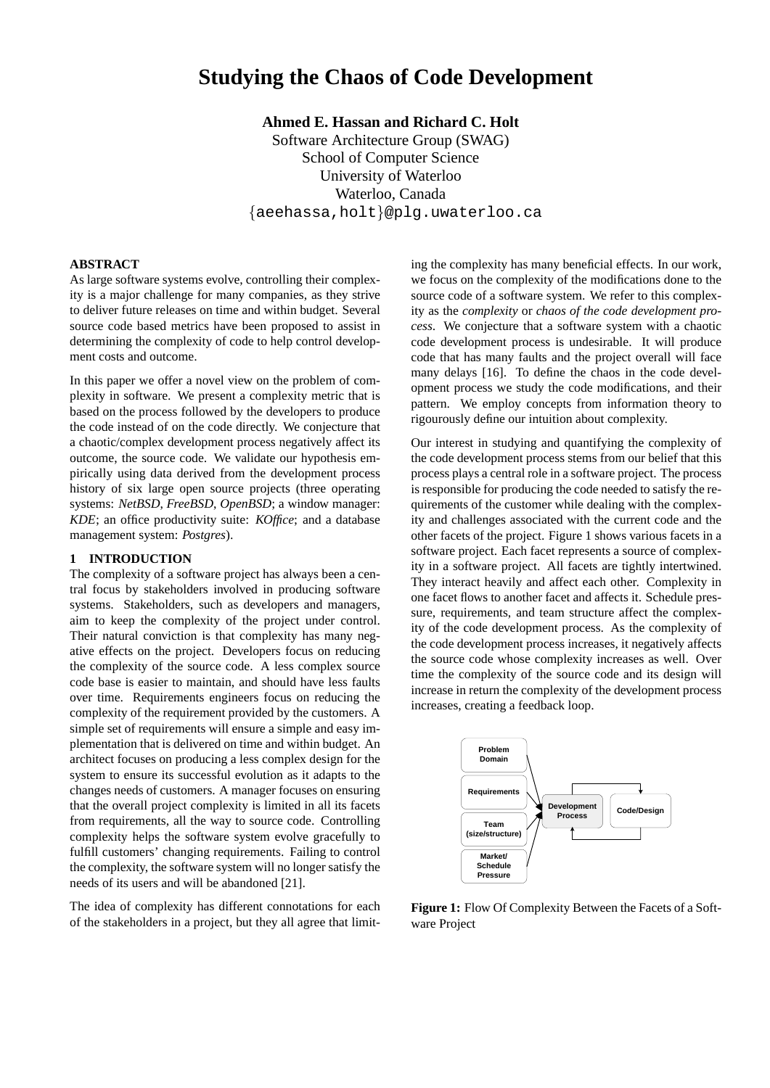# **Studying the Chaos of Code Development**

**Ahmed E. Hassan and Richard C. Holt** Software Architecture Group (SWAG) School of Computer Science University of Waterloo Waterloo, Canada {aeehassa,holt}@plg.uwaterloo.ca

# **ABSTRACT**

As large software systems evolve, controlling their complexity is a major challenge for many companies, as they strive to deliver future releases on time and within budget. Several source code based metrics have been proposed to assist in determining the complexity of code to help control development costs and outcome.

In this paper we offer a novel view on the problem of complexity in software. We present a complexity metric that is based on the process followed by the developers to produce the code instead of on the code directly. We conjecture that a chaotic/complex development process negatively affect its outcome, the source code. We validate our hypothesis empirically using data derived from the development process history of six large open source projects (three operating systems: *NetBSD*, *FreeBSD*, *OpenBSD*; a window manager: *KDE*; an office productivity suite: *KOffice*; and a database management system: *Postgres*).

# **1 INTRODUCTION**

The complexity of a software project has always been a central focus by stakeholders involved in producing software systems. Stakeholders, such as developers and managers, aim to keep the complexity of the project under control. Their natural conviction is that complexity has many negative effects on the project. Developers focus on reducing the complexity of the source code. A less complex source code base is easier to maintain, and should have less faults over time. Requirements engineers focus on reducing the complexity of the requirement provided by the customers. A simple set of requirements will ensure a simple and easy implementation that is delivered on time and within budget. An architect focuses on producing a less complex design for the system to ensure its successful evolution as it adapts to the changes needs of customers. A manager focuses on ensuring that the overall project complexity is limited in all its facets from requirements, all the way to source code. Controlling complexity helps the software system evolve gracefully to fulfill customers' changing requirements. Failing to control the complexity, the software system will no longer satisfy the needs of its users and will be abandoned [21].

The idea of complexity has different connotations for each of the stakeholders in a project, but they all agree that limiting the complexity has many beneficial effects. In our work, we focus on the complexity of the modifications done to the source code of a software system. We refer to this complexity as the *complexity* or *chaos of the code development process*. We conjecture that a software system with a chaotic code development process is undesirable. It will produce code that has many faults and the project overall will face many delays [16]. To define the chaos in the code development process we study the code modifications, and their pattern. We employ concepts from information theory to rigourously define our intuition about complexity.

Our interest in studying and quantifying the complexity of the code development process stems from our belief that this process plays a central role in a software project. The process is responsible for producing the code needed to satisfy the requirements of the customer while dealing with the complexity and challenges associated with the current code and the other facets of the project. Figure 1 shows various facets in a software project. Each facet represents a source of complexity in a software project. All facets are tightly intertwined. They interact heavily and affect each other. Complexity in one facet flows to another facet and affects it. Schedule pressure, requirements, and team structure affect the complexity of the code development process. As the complexity of the code development process increases, it negatively affects the source code whose complexity increases as well. Over time the complexity of the source code and its design will increase in return the complexity of the development process increases, creating a feedback loop.



**Figure 1:** Flow Of Complexity Between the Facets of a Software Project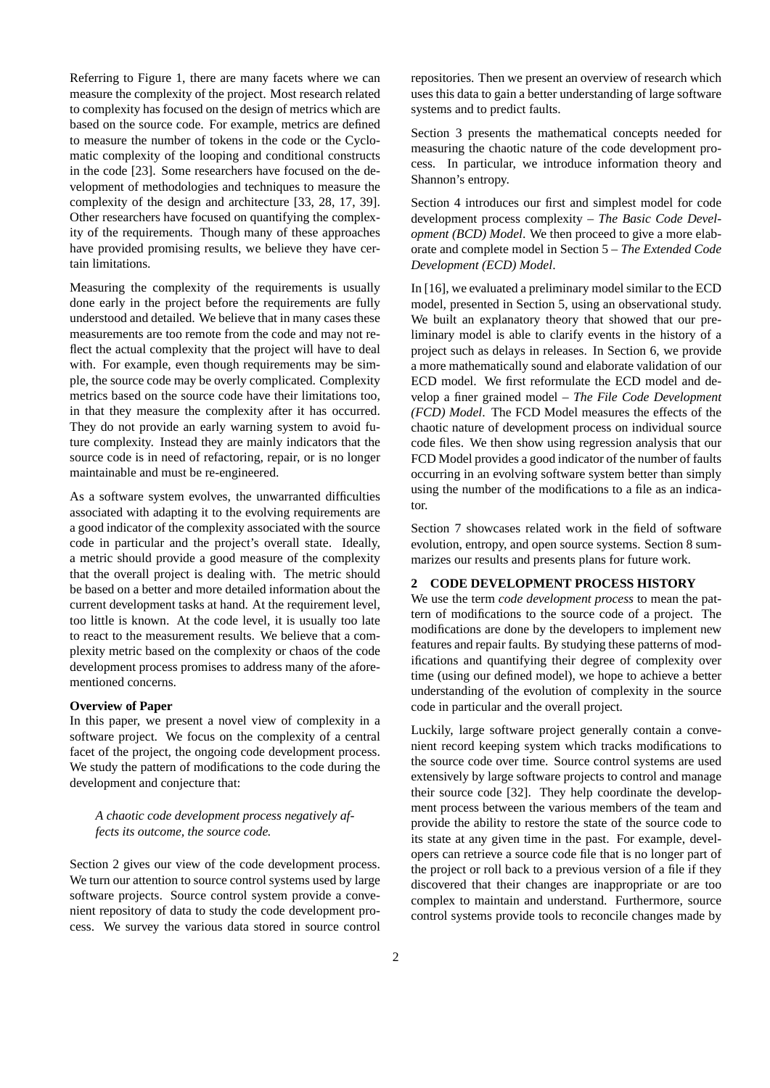Referring to Figure 1, there are many facets where we can measure the complexity of the project. Most research related to complexity has focused on the design of metrics which are based on the source code. For example, metrics are defined to measure the number of tokens in the code or the Cyclomatic complexity of the looping and conditional constructs in the code [23]. Some researchers have focused on the development of methodologies and techniques to measure the complexity of the design and architecture [33, 28, 17, 39]. Other researchers have focused on quantifying the complexity of the requirements. Though many of these approaches have provided promising results, we believe they have certain limitations.

Measuring the complexity of the requirements is usually done early in the project before the requirements are fully understood and detailed. We believe that in many cases these measurements are too remote from the code and may not reflect the actual complexity that the project will have to deal with. For example, even though requirements may be simple, the source code may be overly complicated. Complexity metrics based on the source code have their limitations too, in that they measure the complexity after it has occurred. They do not provide an early warning system to avoid future complexity. Instead they are mainly indicators that the source code is in need of refactoring, repair, or is no longer maintainable and must be re-engineered.

As a software system evolves, the unwarranted difficulties associated with adapting it to the evolving requirements are a good indicator of the complexity associated with the source code in particular and the project's overall state. Ideally, a metric should provide a good measure of the complexity that the overall project is dealing with. The metric should be based on a better and more detailed information about the current development tasks at hand. At the requirement level, too little is known. At the code level, it is usually too late to react to the measurement results. We believe that a complexity metric based on the complexity or chaos of the code development process promises to address many of the aforementioned concerns.

#### **Overview of Paper**

In this paper, we present a novel view of complexity in a software project. We focus on the complexity of a central facet of the project, the ongoing code development process. We study the pattern of modifications to the code during the development and conjecture that:

# *A chaotic code development process negatively affects its outcome, the source code.*

Section 2 gives our view of the code development process. We turn our attention to source control systems used by large software projects. Source control system provide a convenient repository of data to study the code development process. We survey the various data stored in source control repositories. Then we present an overview of research which uses this data to gain a better understanding of large software systems and to predict faults.

Section 3 presents the mathematical concepts needed for measuring the chaotic nature of the code development process. In particular, we introduce information theory and Shannon's entropy.

Section 4 introduces our first and simplest model for code development process complexity – *The Basic Code Development (BCD) Model*. We then proceed to give a more elaborate and complete model in Section 5 – *The Extended Code Development (ECD) Model*.

In [16], we evaluated a preliminary model similar to the ECD model, presented in Section 5, using an observational study. We built an explanatory theory that showed that our preliminary model is able to clarify events in the history of a project such as delays in releases. In Section 6, we provide a more mathematically sound and elaborate validation of our ECD model. We first reformulate the ECD model and develop a finer grained model – *The File Code Development (FCD) Model*. The FCD Model measures the effects of the chaotic nature of development process on individual source code files. We then show using regression analysis that our FCD Model provides a good indicator of the number of faults occurring in an evolving software system better than simply using the number of the modifications to a file as an indicator.

Section 7 showcases related work in the field of software evolution, entropy, and open source systems. Section 8 summarizes our results and presents plans for future work.

## **2 CODE DEVELOPMENT PROCESS HISTORY**

We use the term *code development process* to mean the pattern of modifications to the source code of a project. The modifications are done by the developers to implement new features and repair faults. By studying these patterns of modifications and quantifying their degree of complexity over time (using our defined model), we hope to achieve a better understanding of the evolution of complexity in the source code in particular and the overall project.

Luckily, large software project generally contain a convenient record keeping system which tracks modifications to the source code over time. Source control systems are used extensively by large software projects to control and manage their source code [32]. They help coordinate the development process between the various members of the team and provide the ability to restore the state of the source code to its state at any given time in the past. For example, developers can retrieve a source code file that is no longer part of the project or roll back to a previous version of a file if they discovered that their changes are inappropriate or are too complex to maintain and understand. Furthermore, source control systems provide tools to reconcile changes made by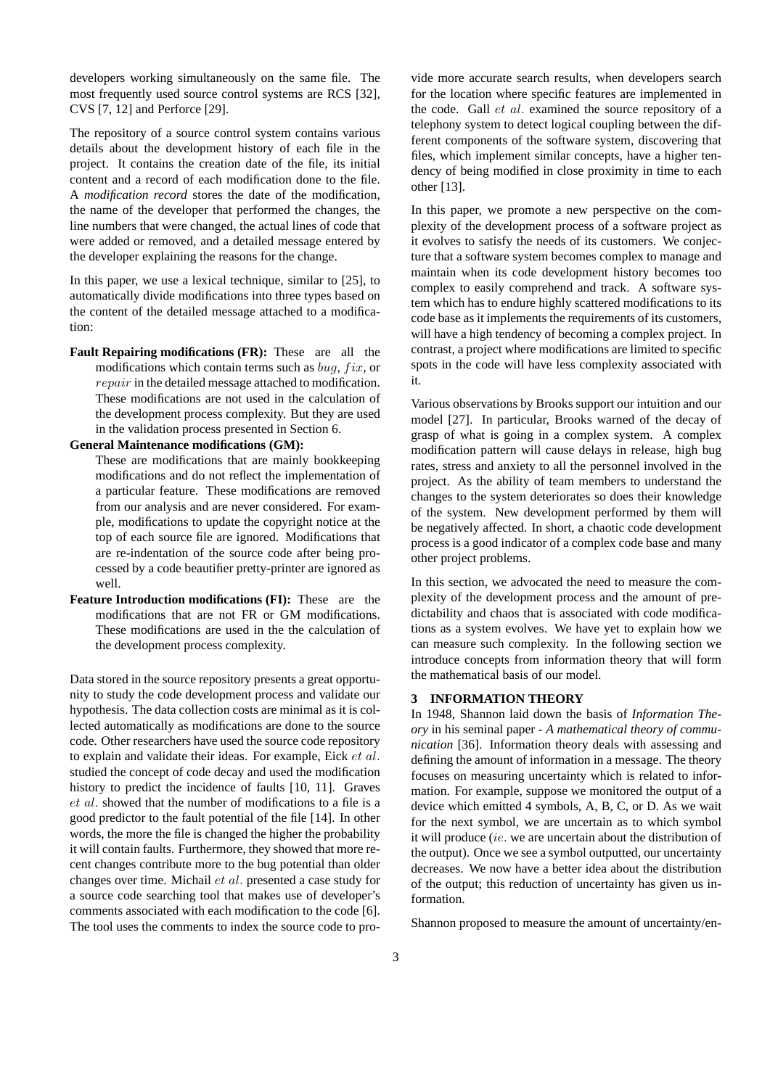developers working simultaneously on the same file. The most frequently used source control systems are RCS [32]. CVS [7, 12] and Perforce [29].

The repository of a source control system contains various details about the development history of each file in the project. It contains the creation date of the file, its initial content and a record of each modification done to the file. A *modification record* stores the date of the modification, the name of the developer that performed the changes, the line numbers that were changed, the actual lines of code that were added or removed, and a detailed message entered by the developer explaining the reasons for the change.

In this paper, we use a lexical technique, similar to [25], to automatically divide modifications into three types based on the content of the detailed message attached to a modification:

**Fault Repairing modifications (FR):** These are all the modifications which contain terms such as  $bug, fix,$  or repair in the detailed message attached to modification. These modifications are not used in the calculation of the development process complexity. But they are used in the validation process presented in Section 6.

#### **General Maintenance modifications (GM):**

These are modifications that are mainly bookkeeping modifications and do not reflect the implementation of a particular feature. These modifications are removed from our analysis and are never considered. For example, modifications to update the copyright notice at the top of each source file are ignored. Modifications that are re-indentation of the source code after being processed by a code beautifier pretty-printer are ignored as well.

**Feature Introduction modifications (FI):** These are the modifications that are not FR or GM modifications. These modifications are used in the the calculation of the development process complexity.

Data stored in the source repository presents a great opportunity to study the code development process and validate our hypothesis. The data collection costs are minimal as it is collected automatically as modifications are done to the source code. Other researchers have used the source code repository to explain and validate their ideas. For example, Eick et al. studied the concept of code decay and used the modification history to predict the incidence of faults [10, 11]. Graves et al. showed that the number of modifications to a file is a good predictor to the fault potential of the file [14]. In other words, the more the file is changed the higher the probability it will contain faults. Furthermore, they showed that more recent changes contribute more to the bug potential than older changes over time. Michail et al. presented a case study for a source code searching tool that makes use of developer's comments associated with each modification to the code [6]. The tool uses the comments to index the source code to provide more accurate search results, when developers search for the location where specific features are implemented in the code. Gall et al. examined the source repository of a telephony system to detect logical coupling between the different components of the software system, discovering that files, which implement similar concepts, have a higher tendency of being modified in close proximity in time to each other [13].

In this paper, we promote a new perspective on the complexity of the development process of a software project as it evolves to satisfy the needs of its customers. We conjecture that a software system becomes complex to manage and maintain when its code development history becomes too complex to easily comprehend and track. A software system which has to endure highly scattered modifications to its code base as it implements the requirements of its customers, will have a high tendency of becoming a complex project. In contrast, a project where modifications are limited to specific spots in the code will have less complexity associated with it.

Various observations by Brooks support our intuition and our model [27]. In particular, Brooks warned of the decay of grasp of what is going in a complex system. A complex modification pattern will cause delays in release, high bug rates, stress and anxiety to all the personnel involved in the project. As the ability of team members to understand the changes to the system deteriorates so does their knowledge of the system. New development performed by them will be negatively affected. In short, a chaotic code development process is a good indicator of a complex code base and many other project problems.

In this section, we advocated the need to measure the complexity of the development process and the amount of predictability and chaos that is associated with code modifications as a system evolves. We have yet to explain how we can measure such complexity. In the following section we introduce concepts from information theory that will form the mathematical basis of our model.

# **3 INFORMATION THEORY**

In 1948, Shannon laid down the basis of *Information Theory* in his seminal paper - *A mathematical theory of communication* [36]. Information theory deals with assessing and defining the amount of information in a message. The theory focuses on measuring uncertainty which is related to information. For example, suppose we monitored the output of a device which emitted 4 symbols, A, B, C, or D. As we wait for the next symbol, we are uncertain as to which symbol it will produce (ie. we are uncertain about the distribution of the output). Once we see a symbol outputted, our uncertainty decreases. We now have a better idea about the distribution of the output; this reduction of uncertainty has given us information.

Shannon proposed to measure the amount of uncertainty/en-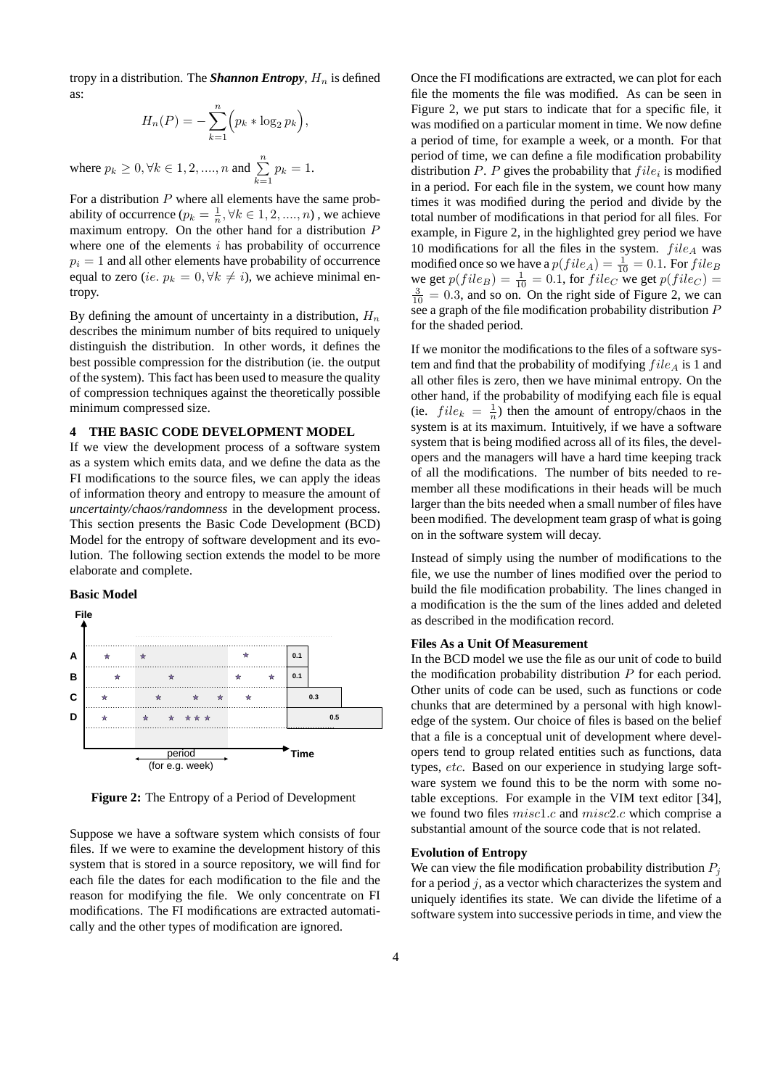tropy in a distribution. The **Shannon Entropy**,  $H_n$  is defined as:

$$
H_n(P) = -\sum_{k=1}^n \left(p_k * \log_2 p_k\right)
$$

,

where  $p_k \ge 0, \forall k \in 1, 2, ..., n$  and  $\sum_{k=1}^{n} p_k = 1$ .

For a distribution  $P$  where all elements have the same probability of occurrence ( $p_k = \frac{1}{n}, \forall k \in {1, 2, ..., n}$ ), we achieve maximum entropy. On the other hand for a distribution P where one of the elements  $i$  has probability of occurrence  $p_i = 1$  and all other elements have probability of occurrence equal to zero (ie.  $p_k = 0, \forall k \neq i$ ), we achieve minimal entropy.

By defining the amount of uncertainty in a distribution,  $H_n$ describes the minimum number of bits required to uniquely distinguish the distribution. In other words, it defines the best possible compression for the distribution (ie. the output of the system). This fact has been used to measure the quality of compression techniques against the theoretically possible minimum compressed size.

# **4 THE BASIC CODE DEVELOPMENT MODEL**

If we view the development process of a software system as a system which emits data, and we define the data as the FI modifications to the source files, we can apply the ideas of information theory and entropy to measure the amount of *uncertainty/chaos/randomness* in the development process. This section presents the Basic Code Development (BCD) Model for the entropy of software development and its evolution. The following section extends the model to be more elaborate and complete.

#### **Basic Model**



**Figure 2:** The Entropy of a Period of Development

Suppose we have a software system which consists of four files. If we were to examine the development history of this system that is stored in a source repository, we will find for each file the dates for each modification to the file and the reason for modifying the file. We only concentrate on FI modifications. The FI modifications are extracted automatically and the other types of modification are ignored.

Once the FI modifications are extracted, we can plot for each file the moments the file was modified. As can be seen in Figure 2, we put stars to indicate that for a specific file, it was modified on a particular moment in time. We now define a period of time, for example a week, or a month. For that period of time, we can define a file modification probability distribution  $P$ .  $P$  gives the probability that  $file_i$  is modified in a period. For each file in the system, we count how many times it was modified during the period and divide by the total number of modifications in that period for all files. For example, in Figure 2, in the highlighted grey period we have 10 modifications for all the files in the system.  $file_A$  was modified once so we have a  $p(file_A) = \frac{1}{10} = 0.1$ . For  $file_B$ we get  $p(file_B) = \frac{1}{10} = 0.1$ , for  $file_C$  we get  $p(file_C) =$  $\frac{3}{10}$  = 0.3, and so on. On the right side of Figure 2, we can see a graph of the file modification probability distribution P for the shaded period.

If we monitor the modifications to the files of a software system and find that the probability of modifying  $file_A$  is 1 and all other files is zero, then we have minimal entropy. On the other hand, if the probability of modifying each file is equal (ie.  $file_k = \frac{1}{n}$ ) then the amount of entropy/chaos in the system is at its maximum. Intuitively, if we have a software system that is being modified across all of its files, the developers and the managers will have a hard time keeping track of all the modifications. The number of bits needed to remember all these modifications in their heads will be much larger than the bits needed when a small number of files have been modified. The development team grasp of what is going on in the software system will decay.

Instead of simply using the number of modifications to the file, we use the number of lines modified over the period to build the file modification probability. The lines changed in a modification is the the sum of the lines added and deleted as described in the modification record.

# **Files As a Unit Of Measurement**

In the BCD model we use the file as our unit of code to build the modification probability distribution  $P$  for each period. Other units of code can be used, such as functions or code chunks that are determined by a personal with high knowledge of the system. Our choice of files is based on the belief that a file is a conceptual unit of development where developers tend to group related entities such as functions, data types, etc. Based on our experience in studying large software system we found this to be the norm with some notable exceptions. For example in the VIM text editor [34], we found two files misc1.c and misc2.c which comprise a substantial amount of the source code that is not related.

#### **Evolution of Entropy**

We can view the file modification probability distribution  $P_i$ for a period  $j$ , as a vector which characterizes the system and uniquely identifies its state. We can divide the lifetime of a software system into successive periods in time, and view the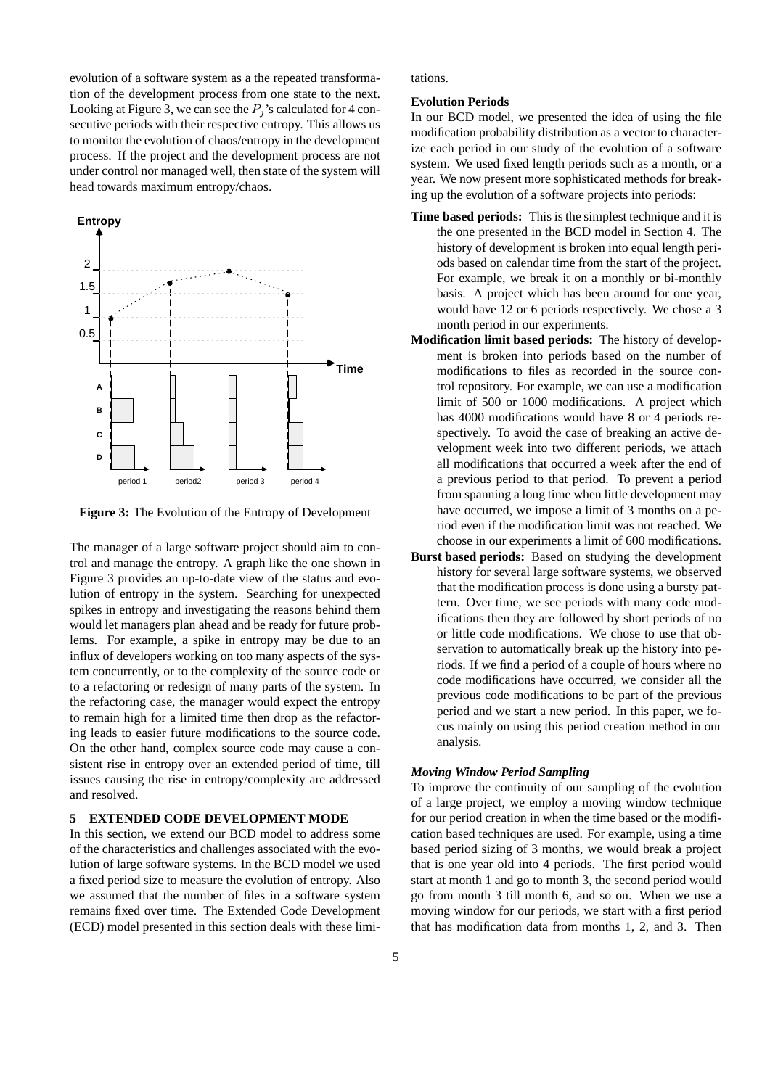evolution of a software system as a the repeated transformation of the development process from one state to the next. Looking at Figure 3, we can see the  $P_i$ 's calculated for 4 consecutive periods with their respective entropy. This allows us to monitor the evolution of chaos/entropy in the development process. If the project and the development process are not under control nor managed well, then state of the system will head towards maximum entropy/chaos.



**Figure 3:** The Evolution of the Entropy of Development

The manager of a large software project should aim to control and manage the entropy. A graph like the one shown in Figure 3 provides an up-to-date view of the status and evolution of entropy in the system. Searching for unexpected spikes in entropy and investigating the reasons behind them would let managers plan ahead and be ready for future problems. For example, a spike in entropy may be due to an influx of developers working on too many aspects of the system concurrently, or to the complexity of the source code or to a refactoring or redesign of many parts of the system. In the refactoring case, the manager would expect the entropy to remain high for a limited time then drop as the refactoring leads to easier future modifications to the source code. On the other hand, complex source code may cause a consistent rise in entropy over an extended period of time, till issues causing the rise in entropy/complexity are addressed and resolved.

# **5 EXTENDED CODE DEVELOPMENT MODE**

In this section, we extend our BCD model to address some of the characteristics and challenges associated with the evolution of large software systems. In the BCD model we used a fixed period size to measure the evolution of entropy. Also we assumed that the number of files in a software system remains fixed over time. The Extended Code Development (ECD) model presented in this section deals with these limitations.

#### **Evolution Periods**

In our BCD model, we presented the idea of using the file modification probability distribution as a vector to characterize each period in our study of the evolution of a software system. We used fixed length periods such as a month, or a year. We now present more sophisticated methods for breaking up the evolution of a software projects into periods:

- **Time based periods:** This is the simplest technique and it is the one presented in the BCD model in Section 4. The history of development is broken into equal length periods based on calendar time from the start of the project. For example, we break it on a monthly or bi-monthly basis. A project which has been around for one year, would have 12 or 6 periods respectively. We chose a 3 month period in our experiments.
- **Modification limit based periods:** The history of development is broken into periods based on the number of modifications to files as recorded in the source control repository. For example, we can use a modification limit of 500 or 1000 modifications. A project which has 4000 modifications would have 8 or 4 periods respectively. To avoid the case of breaking an active development week into two different periods, we attach all modifications that occurred a week after the end of a previous period to that period. To prevent a period from spanning a long time when little development may have occurred, we impose a limit of 3 months on a period even if the modification limit was not reached. We choose in our experiments a limit of 600 modifications.
- **Burst based periods:** Based on studying the development history for several large software systems, we observed that the modification process is done using a bursty pattern. Over time, we see periods with many code modifications then they are followed by short periods of no or little code modifications. We chose to use that observation to automatically break up the history into periods. If we find a period of a couple of hours where no code modifications have occurred, we consider all the previous code modifications to be part of the previous period and we start a new period. In this paper, we focus mainly on using this period creation method in our analysis.

# *Moving Window Period Sampling*

To improve the continuity of our sampling of the evolution of a large project, we employ a moving window technique for our period creation in when the time based or the modification based techniques are used. For example, using a time based period sizing of 3 months, we would break a project that is one year old into 4 periods. The first period would start at month 1 and go to month 3, the second period would go from month 3 till month 6, and so on. When we use a moving window for our periods, we start with a first period that has modification data from months 1, 2, and 3. Then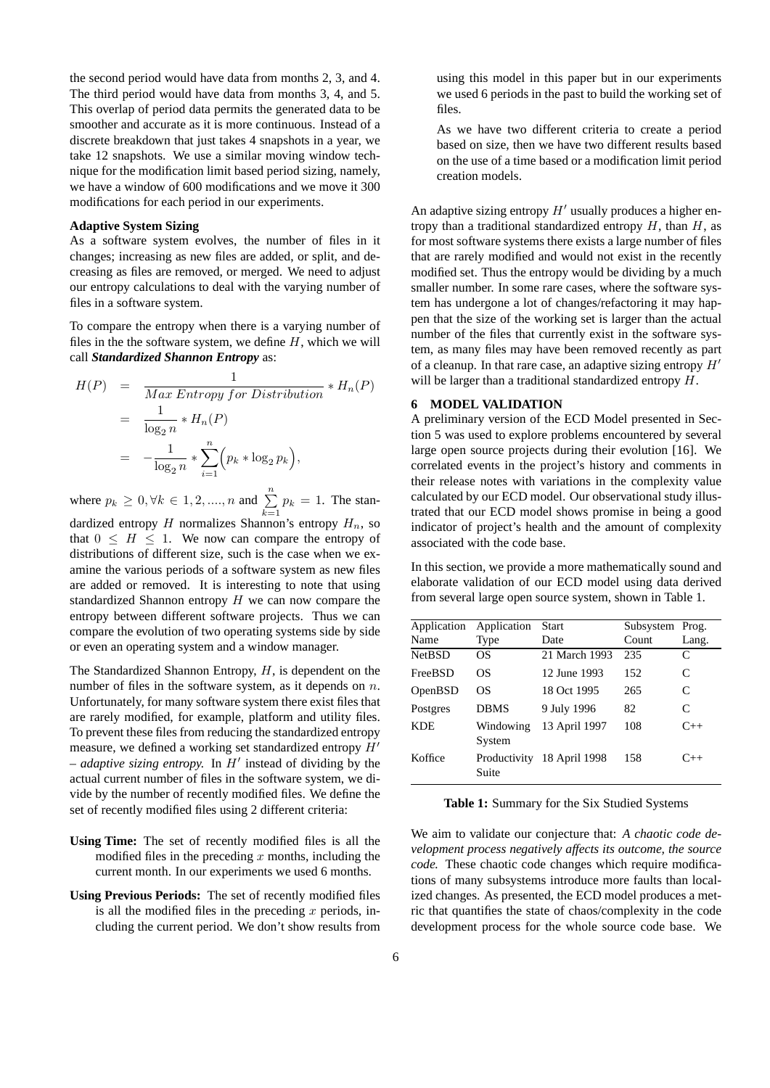the second period would have data from months 2, 3, and 4. The third period would have data from months 3, 4, and 5. This overlap of period data permits the generated data to be smoother and accurate as it is more continuous. Instead of a discrete breakdown that just takes 4 snapshots in a year, we take 12 snapshots. We use a similar moving window technique for the modification limit based period sizing, namely, we have a window of 600 modifications and we move it 300 modifications for each period in our experiments.

# **Adaptive System Sizing**

As a software system evolves, the number of files in it changes; increasing as new files are added, or split, and decreasing as files are removed, or merged. We need to adjust our entropy calculations to deal with the varying number of files in a software system.

To compare the entropy when there is a varying number of files in the the software system, we define  $H$ , which we will call *Standardized Shannon Entropy* as:

$$
H(P) = \frac{1}{Max \;Entropy \; for \; Distribution} * H_n(P)
$$
  
= 
$$
\frac{1}{\log_2 n} * H_n(P)
$$
  
= 
$$
-\frac{1}{\log_2 n} * \sum_{i=1}^n (p_k * \log_2 p_k),
$$

where  $p_k \ge 0, \forall k \in 1, 2, ..., n$  and  $\sum_{k=1}^{n} p_k = 1$ . The standardized entropy  $H$  normalizes Shannon's entropy  $H_n$ , so that  $0 \leq H \leq 1$ . We now can compare the entropy of distributions of different size, such is the case when we examine the various periods of a software system as new files are added or removed. It is interesting to note that using standardized Shannon entropy  $H$  we can now compare the entropy between different software projects. Thus we can compare the evolution of two operating systems side by side or even an operating system and a window manager.

The Standardized Shannon Entropy,  $H$ , is dependent on the number of files in the software system, as it depends on n. Unfortunately, for many software system there exist files that are rarely modified, for example, platform and utility files. To prevent these files from reducing the standardized entropy measure, we defined a working set standardized entropy  $H'$  $-$  *adaptive sizing entropy.* In  $H'$  instead of dividing by the actual current number of files in the software system, we divide by the number of recently modified files. We define the set of recently modified files using 2 different criteria:

- **Using Time:** The set of recently modified files is all the modified files in the preceding x months, including the current month. In our experiments we used 6 months.
- **Using Previous Periods:** The set of recently modified files is all the modified files in the preceding  $x$  periods, including the current period. We don't show results from

using this model in this paper but in our experiments we used 6 periods in the past to build the working set of files.

As we have two different criteria to create a period based on size, then we have two different results based on the use of a time based or a modification limit period creation models.

An adaptive sizing entropy  $H'$  usually produces a higher entropy than a traditional standardized entropy  $H$ , than  $H$ , as for most software systems there exists a large number of files that are rarely modified and would not exist in the recently modified set. Thus the entropy would be dividing by a much smaller number. In some rare cases, where the software system has undergone a lot of changes/refactoring it may happen that the size of the working set is larger than the actual number of the files that currently exist in the software system, as many files may have been removed recently as part of a cleanup. In that rare case, an adaptive sizing entropy  $H'$ will be larger than a traditional standardized entropy  $H$ .

# **6 MODEL VALIDATION**

A preliminary version of the ECD Model presented in Section 5 was used to explore problems encountered by several large open source projects during their evolution [16]. We correlated events in the project's history and comments in their release notes with variations in the complexity value calculated by our ECD model. Our observational study illustrated that our ECD model shows promise in being a good indicator of project's health and the amount of complexity associated with the code base.

In this section, we provide a more mathematically sound and elaborate validation of our ECD model using data derived from several large open source system, shown in Table 1.

| Application    | Application         | <b>Start</b>               | Subsystem Prog. |          |
|----------------|---------------------|----------------------------|-----------------|----------|
| Name           | Type                | Date                       | Count           | Lang.    |
| <b>NetBSD</b>  | OS                  | 21 March 1993              | 235             | C        |
| <b>FreeBSD</b> | OS                  | 12 June 1993               | 152             | C        |
| OpenBSD        | OS                  | 18 Oct 1995                | 265             | C        |
| Postgres       | <b>DBMS</b>         | 9 July 1996                | 82              | C        |
| <b>KDE</b>     | Windowing<br>System | 13 April 1997              | 108             | $C_{++}$ |
| Koffice        | Suite               | Productivity 18 April 1998 | 158             | $C_{++}$ |

**Table 1:** Summary for the Six Studied Systems

We aim to validate our conjecture that: *A chaotic code development process negatively affects its outcome, the source code.* These chaotic code changes which require modifications of many subsystems introduce more faults than localized changes. As presented, the ECD model produces a metric that quantifies the state of chaos/complexity in the code development process for the whole source code base. We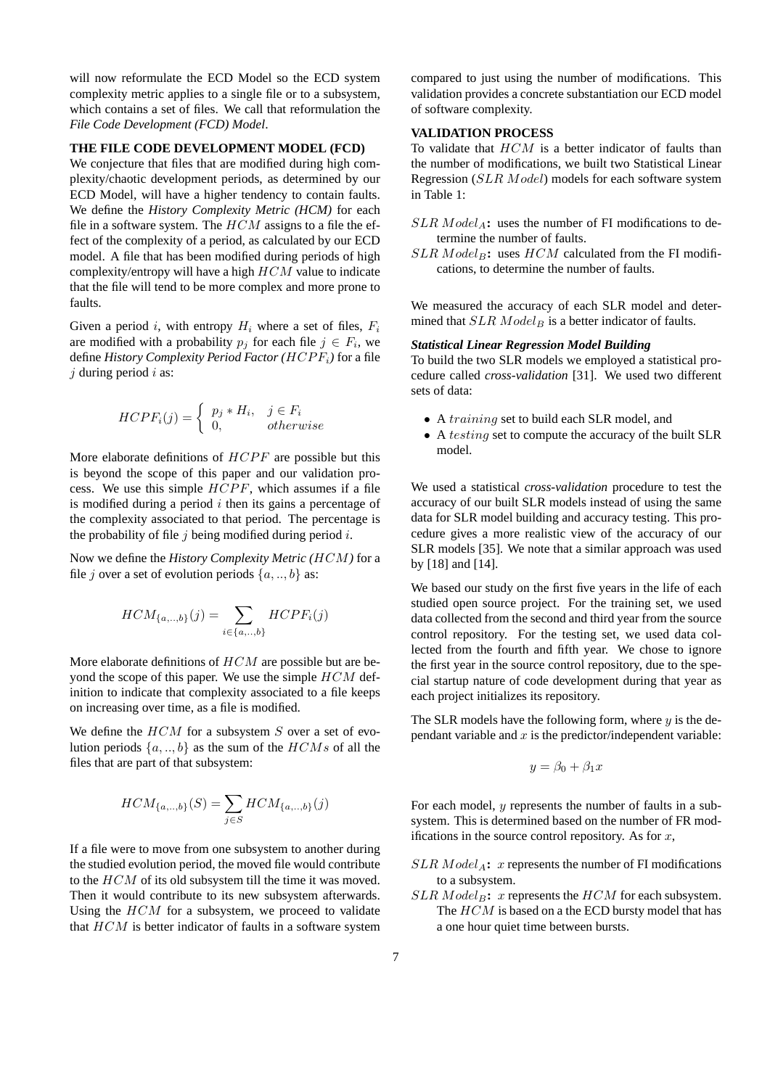will now reformulate the ECD Model so the ECD system complexity metric applies to a single file or to a subsystem, which contains a set of files. We call that reformulation the *File Code Development (FCD) Model*.

## **THE FILE CODE DEVELOPMENT MODEL (FCD)**

We conjecture that files that are modified during high complexity/chaotic development periods, as determined by our ECD Model, will have a higher tendency to contain faults. We define the *History Complexity Metric (HCM)* for each file in a software system. The  $HCM$  assigns to a file the effect of the complexity of a period, as calculated by our ECD model. A file that has been modified during periods of high complexity/entropy will have a high  $HCM$  value to indicate that the file will tend to be more complex and more prone to faults.

Given a period i, with entropy  $H_i$  where a set of files,  $F_i$ are modified with a probability  $p_j$  for each file  $j \in F_i$ , we define *History Complexity Period Factor (*HCP Fi*)* for a file  $j$  during period  $i$  as:

$$
HCPF_i(j) = \begin{cases} p_j * H_i, & j \in F_i \\ 0, & otherwise \end{cases}
$$

More elaborate definitions of  $HCPF$  are possible but this is beyond the scope of this paper and our validation process. We use this simple  $HCPF$ , which assumes if a file is modified during a period  $i$  then its gains a percentage of the complexity associated to that period. The percentage is the probability of file  $j$  being modified during period  $i$ .

Now we define the *History Complexity Metric (*HCM*)* for a file j over a set of evolution periods  $\{a,..,b\}$  as:

$$
HCM_{\{a,\ldots,b\}}(j) = \sum_{i \in \{a,\ldots,b\}} HCPF_i(j)
$$

More elaborate definitions of HCM are possible but are beyond the scope of this paper. We use the simple  $HCM$  definition to indicate that complexity associated to a file keeps on increasing over time, as a file is modified.

We define the  $HCM$  for a subsystem  $S$  over a set of evolution periods  $\{a,..,b\}$  as the sum of the  $HCMs$  of all the files that are part of that subsystem:

$$
HCM_{\{a,\ldots,b\}}(S) = \sum_{j \in S} HCM_{\{a,\ldots,b\}}(j)
$$

If a file were to move from one subsystem to another during the studied evolution period, the moved file would contribute to the HCM of its old subsystem till the time it was moved. Then it would contribute to its new subsystem afterwards. Using the  $HCM$  for a subsystem, we proceed to validate that  $HCM$  is better indicator of faults in a software system

compared to just using the number of modifications. This validation provides a concrete substantiation our ECD model of software complexity.

# **VALIDATION PROCESS**

To validate that  $HCM$  is a better indicator of faults than the number of modifications, we built two Statistical Linear Regression (SLR Model) models for each software system in Table 1:

- $SLR \text{ Model}_A$ : uses the number of FI modifications to determine the number of faults.
- $SLR$  Model<sub>B</sub>: uses  $HCM$  calculated from the FI modifications, to determine the number of faults.

We measured the accuracy of each SLR model and determined that  $SLR Model_B$  is a better indicator of faults.

# *Statistical Linear Regression Model Building*

To build the two SLR models we employed a statistical procedure called *cross-validation* [31]. We used two different sets of data:

- A training set to build each SLR model, and
- A *testing* set to compute the accuracy of the built SLR model.

We used a statistical *cross-validation* procedure to test the accuracy of our built SLR models instead of using the same data for SLR model building and accuracy testing. This procedure gives a more realistic view of the accuracy of our SLR models [35]. We note that a similar approach was used by [18] and [14].

We based our study on the first five years in the life of each studied open source project. For the training set, we used data collected from the second and third year from the source control repository. For the testing set, we used data collected from the fourth and fifth year. We chose to ignore the first year in the source control repository, due to the special startup nature of code development during that year as each project initializes its repository.

The SLR models have the following form, where  $y$  is the dependant variable and  $x$  is the predictor/independent variable:

$$
y = \beta_0 + \beta_1 x
$$

For each model, y represents the number of faults in a subsystem. This is determined based on the number of FR modifications in the source control repository. As for  $x$ ,

- $SLR$  *Model<sub>A</sub>*: *x* represents the number of FI modifications to a subsystem.
- $SLR$  *Model<sub>B</sub>*: *x* represents the  $HCM$  for each subsystem. The  $HCM$  is based on a the ECD bursty model that has a one hour quiet time between bursts.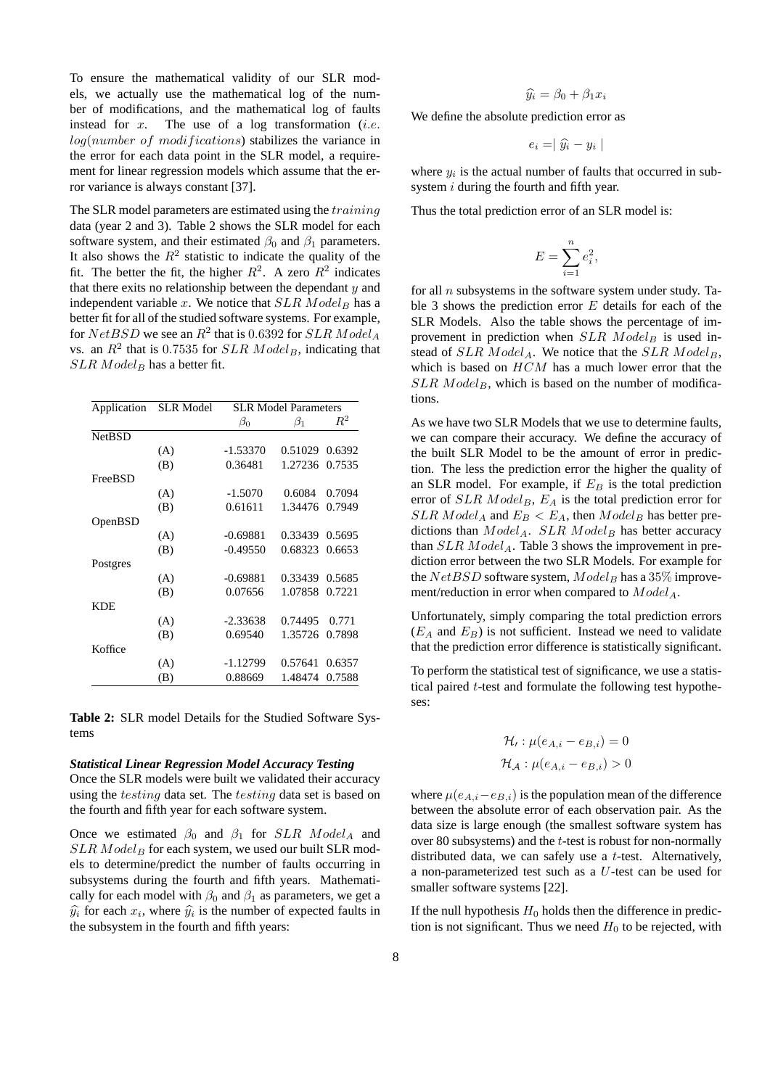To ensure the mathematical validity of our SLR models, we actually use the mathematical log of the number of modifications, and the mathematical log of faults instead for  $x$ . The use of a log transformation (*i.e.*  $log(number of modifications)$  stabilizes the variance in the error for each data point in the SLR model, a requirement for linear regression models which assume that the error variance is always constant [37].

The SLR model parameters are estimated using the *training* data (year 2 and 3). Table 2 shows the SLR model for each software system, and their estimated  $\beta_0$  and  $\beta_1$  parameters. It also shows the  $R^2$  statistic to indicate the quality of the fit. The better the fit, the higher  $R^2$ . A zero  $R^2$  indicates that there exits no relationship between the dependant  $y$  and independent variable  $x$ . We notice that  $SLR$   $Model_B$  has a better fit for all of the studied software systems. For example, for  $NetBSD$  we see an  $R^2$  that is 0.6392 for  $SLR$   $Model_A$ vs. an  $R^2$  that is 0.7535 for  $SLR$   $Model_B$ , indicating that  $SLR$  *Model<sub>B</sub>* has a better fit.

| Application   | <b>SLR</b> Model | <b>SLR Model Parameters</b> |           |        |
|---------------|------------------|-----------------------------|-----------|--------|
|               |                  | $\beta_0$                   | $\beta_1$ | $R^2$  |
| <b>NetBSD</b> |                  |                             |           |        |
|               | (A)              | -1.53370                    | 0.51029   | 0.6392 |
|               | (B)              | 0.36481                     | 1.27236   | 0.7535 |
| FreeBSD       |                  |                             |           |        |
|               | (A)              | $-1.5070$                   | 0.6084    | 0.7094 |
|               | (B)              | 0.61611                     | 1.34476   | 0.7949 |
| OpenBSD       |                  |                             |           |        |
|               | (A)              | $-0.69881$                  | 0.33439   | 0.5695 |
|               | (B)              | $-0.49550$                  | 0.68323   | 0.6653 |
| Postgres      |                  |                             |           |        |
|               | (A)              | $-0.69881$                  | 0.33439   | 0.5685 |
|               | (B)              | 0.07656                     | 1.07858   | 0.7221 |
| KDE           |                  |                             |           |        |
|               | (A)              | $-2.33638$                  | 0.74495   | 0.771  |
|               | (B)              | 0.69540                     | 1.35726   | 0.7898 |
| Koffice       |                  |                             |           |        |
|               | (A)              | -1.12799                    | 0.57641   | 0.6357 |
|               | (B)              | 0.88669                     | 1.48474   | 0.7588 |

**Table 2:** SLR model Details for the Studied Software Systems

#### *Statistical Linear Regression Model Accuracy Testing*

Once the SLR models were built we validated their accuracy using the *testing* data set. The *testing* data set is based on the fourth and fifth year for each software system.

Once we estimated  $\beta_0$  and  $\beta_1$  for SLR Model<sub>A</sub> and  $SLR$  Model<sub>B</sub> for each system, we used our built SLR models to determine/predict the number of faults occurring in subsystems during the fourth and fifth years. Mathematically for each model with  $\beta_0$  and  $\beta_1$  as parameters, we get a  $\hat{y}_i$  for each  $x_i$ , where  $\hat{y}_i$  is the number of expected faults in the subsystem in the fourth and fifth years. the subsystem in the fourth and fifth years:

$$
\widehat{y_i} = \beta_0 + \beta_1 x_i
$$

We define the absolute prediction error as

$$
e_i = | \hat{y}_i - y_i |
$$

where  $y_i$  is the actual number of faults that occurred in subsystem *i* during the fourth and fifth year.

Thus the total prediction error of an SLR model is:

$$
E = \sum_{i=1}^{n} e_i^2,
$$

for all  $n$  subsystems in the software system under study. Table 3 shows the prediction error  $E$  details for each of the SLR Models. Also the table shows the percentage of improvement in prediction when  $SLR$   $Model_B$  is used instead of  $SLR$  Model<sub>A</sub>. We notice that the  $SLR$  Model<sub>B</sub>, which is based on  $HCM$  has a much lower error that the  $SLR$  *Model<sub>B</sub>*, which is based on the number of modifications.

As we have two SLR Models that we use to determine faults, we can compare their accuracy. We define the accuracy of the built SLR Model to be the amount of error in prediction. The less the prediction error the higher the quality of an SLR model. For example, if  $E_B$  is the total prediction error of  $SLR$  *Model<sub>B</sub>*,  $E_A$  is the total prediction error for  $SLR \text{ Model}_A$  and  $E_B < E_A$ , then  $Model_B$  has better predictions than  $Model_A$ . SLR  $Model_B$  has better accuracy than  $SLR$  *Model<sub>A</sub>*. Table 3 shows the improvement in prediction error between the two SLR Models. For example for the  $NetBSD$  software system,  $Model_B$  has a 35% improvement/reduction in error when compared to  $Model_A$ .

Unfortunately, simply comparing the total prediction errors  $(E_A$  and  $E_B$ ) is not sufficient. Instead we need to validate that the prediction error difference is statistically significant.

To perform the statistical test of significance, we use a statistical paired t-test and formulate the following test hypotheses:

$$
\mathcal{H}_i : \mu(e_{A,i} - e_{B,i}) = 0
$$
  

$$
\mathcal{H}_A : \mu(e_{A,i} - e_{B,i}) > 0
$$

where  $\mu(e_{A,i}-e_{B,i})$  is the population mean of the difference between the absolute error of each observation pair. As the data size is large enough (the smallest software system has over 80 subsystems) and the t-test is robust for non-normally distributed data, we can safely use a t-test. Alternatively, a non-parameterized test such as a U-test can be used for smaller software systems [22].

If the null hypothesis  $H_0$  holds then the difference in prediction is not significant. Thus we need  $H_0$  to be rejected, with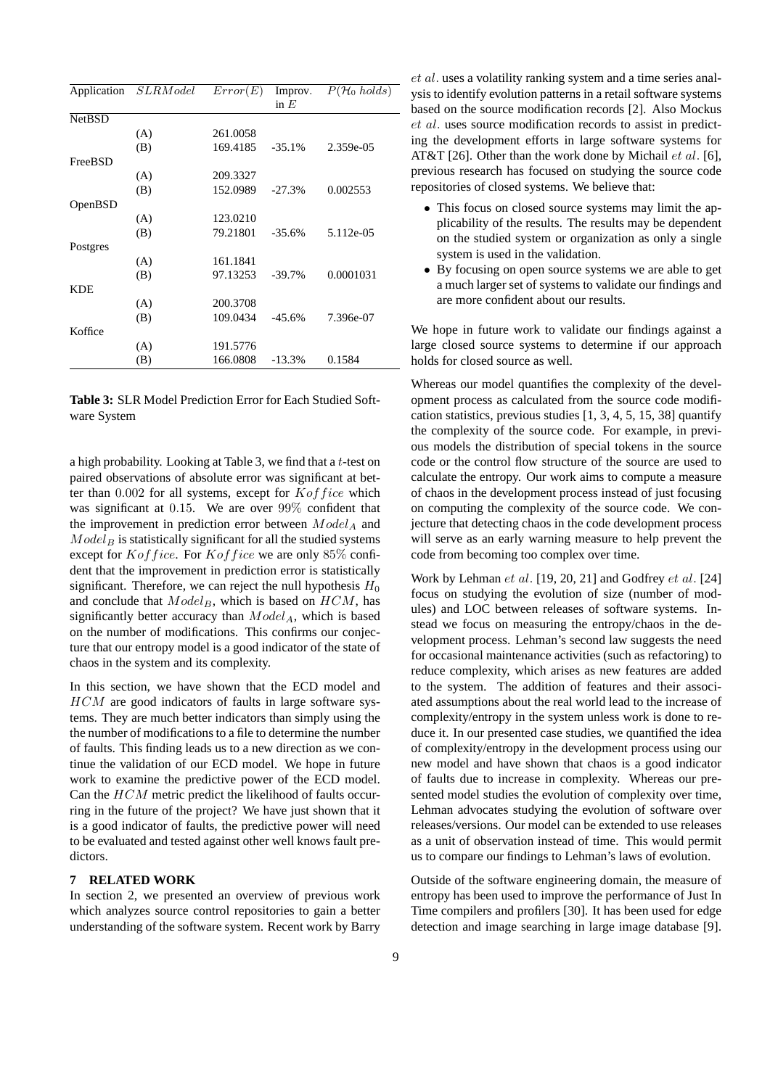|               | Application SLRModel | Error(E) | Improv.  | $\overline{P}(\mathcal{H}_0 \text{ holds})$ |
|---------------|----------------------|----------|----------|---------------------------------------------|
|               |                      |          | in $E$   |                                             |
| <b>NetBSD</b> |                      |          |          |                                             |
|               | (A)                  | 261.0058 |          |                                             |
|               | (B)                  | 169.4185 | $-35.1%$ | 2.359e-05                                   |
| FreeBSD       |                      |          |          |                                             |
|               | (A)                  | 209.3327 |          |                                             |
|               | (B)                  | 152.0989 | $-27.3%$ | 0.002553                                    |
| OpenBSD       |                      |          |          |                                             |
|               | (A)                  | 123.0210 |          |                                             |
|               | (B)                  | 79.21801 | $-35.6%$ | 5.112e-05                                   |
| Postgres      |                      |          |          |                                             |
|               | (A)                  | 161.1841 |          |                                             |
|               | (B)                  | 97.13253 | $-39.7%$ | 0.0001031                                   |
| <b>KDE</b>    |                      |          |          |                                             |
|               | (A)                  | 200.3708 |          |                                             |
|               | (B)                  | 109.0434 | $-45.6%$ | 7.396e-07                                   |
| Koffice       |                      |          |          |                                             |
|               | (A)                  | 191.5776 |          |                                             |
|               | (B)                  | 166.0808 | $-13.3%$ | 0.1584                                      |
|               |                      |          |          |                                             |

**Table 3:** SLR Model Prediction Error for Each Studied Software System

a high probability. Looking at Table 3, we find that a  $t$ -test on paired observations of absolute error was significant at better than  $0.002$  for all systems, except for  $Kof$  fice which was significant at 0.15. We are over 99% confident that the improvement in prediction error between  $Model_A$  and  $Model_B$  is statistically significant for all the studied systems except for  $Kof$  fice. For  $Kof$  fice we are only 85% confident that the improvement in prediction error is statistically significant. Therefore, we can reject the null hypothesis  $H_0$ and conclude that  $Model_B$ , which is based on  $HCM$ , has significantly better accuracy than  $Model_A$ , which is based on the number of modifications. This confirms our conjecture that our entropy model is a good indicator of the state of chaos in the system and its complexity.

In this section, we have shown that the ECD model and HCM are good indicators of faults in large software systems. They are much better indicators than simply using the the number of modifications to a file to determine the number of faults. This finding leads us to a new direction as we continue the validation of our ECD model. We hope in future work to examine the predictive power of the ECD model. Can the HCM metric predict the likelihood of faults occurring in the future of the project? We have just shown that it is a good indicator of faults, the predictive power will need to be evaluated and tested against other well knows fault predictors.

## **7 RELATED WORK**

In section 2, we presented an overview of previous work which analyzes source control repositories to gain a better understanding of the software system. Recent work by Barry et al. uses a volatility ranking system and a time series analysis to identify evolution patterns in a retail software systems based on the source modification records [2]. Also Mockus et al. uses source modification records to assist in predicting the development efforts in large software systems for AT&T [26]. Other than the work done by Michail  $et$  al. [6], previous research has focused on studying the source code repositories of closed systems. We believe that:

- This focus on closed source systems may limit the applicability of the results. The results may be dependent on the studied system or organization as only a single system is used in the validation.
- By focusing on open source systems we are able to get a much larger set of systems to validate our findings and are more confident about our results.

We hope in future work to validate our findings against a large closed source systems to determine if our approach holds for closed source as well.

Whereas our model quantifies the complexity of the development process as calculated from the source code modification statistics, previous studies [1, 3, 4, 5, 15, 38] quantify the complexity of the source code. For example, in previous models the distribution of special tokens in the source code or the control flow structure of the source are used to calculate the entropy. Our work aims to compute a measure of chaos in the development process instead of just focusing on computing the complexity of the source code. We conjecture that detecting chaos in the code development process will serve as an early warning measure to help prevent the code from becoming too complex over time.

Work by Lehman et al. [19, 20, 21] and Godfrey et al. [24] focus on studying the evolution of size (number of modules) and LOC between releases of software systems. Instead we focus on measuring the entropy/chaos in the development process. Lehman's second law suggests the need for occasional maintenance activities (such as refactoring) to reduce complexity, which arises as new features are added to the system. The addition of features and their associated assumptions about the real world lead to the increase of complexity/entropy in the system unless work is done to reduce it. In our presented case studies, we quantified the idea of complexity/entropy in the development process using our new model and have shown that chaos is a good indicator of faults due to increase in complexity. Whereas our presented model studies the evolution of complexity over time, Lehman advocates studying the evolution of software over releases/versions. Our model can be extended to use releases as a unit of observation instead of time. This would permit us to compare our findings to Lehman's laws of evolution.

Outside of the software engineering domain, the measure of entropy has been used to improve the performance of Just In Time compilers and profilers [30]. It has been used for edge detection and image searching in large image database [9].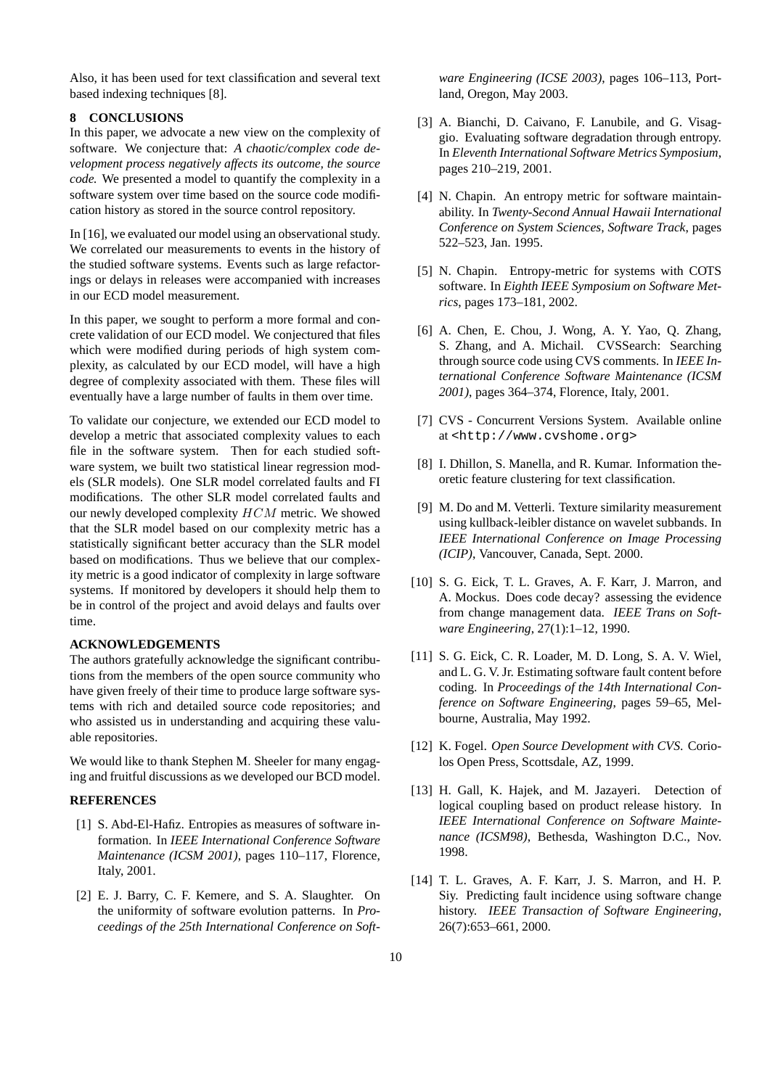Also, it has been used for text classification and several text based indexing techniques [8].

#### **8 CONCLUSIONS**

In this paper, we advocate a new view on the complexity of software. We conjecture that: *A chaotic/complex code development process negatively affects its outcome, the source code.* We presented a model to quantify the complexity in a software system over time based on the source code modification history as stored in the source control repository.

In [16], we evaluated our model using an observational study. We correlated our measurements to events in the history of the studied software systems. Events such as large refactorings or delays in releases were accompanied with increases in our ECD model measurement.

In this paper, we sought to perform a more formal and concrete validation of our ECD model. We conjectured that files which were modified during periods of high system complexity, as calculated by our ECD model, will have a high degree of complexity associated with them. These files will eventually have a large number of faults in them over time.

To validate our conjecture, we extended our ECD model to develop a metric that associated complexity values to each file in the software system. Then for each studied software system, we built two statistical linear regression models (SLR models). One SLR model correlated faults and FI modifications. The other SLR model correlated faults and our newly developed complexity HCM metric. We showed that the SLR model based on our complexity metric has a statistically significant better accuracy than the SLR model based on modifications. Thus we believe that our complexity metric is a good indicator of complexity in large software systems. If monitored by developers it should help them to be in control of the project and avoid delays and faults over time.

#### **ACKNOWLEDGEMENTS**

The authors gratefully acknowledge the significant contributions from the members of the open source community who have given freely of their time to produce large software systems with rich and detailed source code repositories; and who assisted us in understanding and acquiring these valuable repositories.

We would like to thank Stephen M. Sheeler for many engaging and fruitful discussions as we developed our BCD model.

## **REFERENCES**

- [1] S. Abd-El-Hafiz. Entropies as measures of software information. In *IEEE International Conference Software Maintenance (ICSM 2001)*, pages 110–117, Florence, Italy, 2001.
- [2] E. J. Barry, C. F. Kemere, and S. A. Slaughter. On the uniformity of software evolution patterns. In *Proceedings of the 25th International Conference on Soft-*

*ware Engineering (ICSE 2003)*, pages 106–113, Portland, Oregon, May 2003.

- [3] A. Bianchi, D. Caivano, F. Lanubile, and G. Visaggio. Evaluating software degradation through entropy. In *Eleventh International Software Metrics Symposium*, pages 210–219, 2001.
- [4] N. Chapin. An entropy metric for software maintainability. In *Twenty-Second Annual Hawaii International Conference on System Sciences, Software Track*, pages 522–523, Jan. 1995.
- [5] N. Chapin. Entropy-metric for systems with COTS software. In *Eighth IEEE Symposium on Software Metrics*, pages 173–181, 2002.
- [6] A. Chen, E. Chou, J. Wong, A. Y. Yao, Q. Zhang, S. Zhang, and A. Michail. CVSSearch: Searching through source code using CVS comments. In *IEEE International Conference Software Maintenance (ICSM 2001)*, pages 364–374, Florence, Italy, 2001.
- [7] CVS Concurrent Versions System. Available online at <http://www.cvshome.org>
- [8] I. Dhillon, S. Manella, and R. Kumar. Information theoretic feature clustering for text classification.
- [9] M. Do and M. Vetterli. Texture similarity measurement using kullback-leibler distance on wavelet subbands. In *IEEE International Conference on Image Processing (ICIP)*, Vancouver, Canada, Sept. 2000.
- [10] S. G. Eick, T. L. Graves, A. F. Karr, J. Marron, and A. Mockus. Does code decay? assessing the evidence from change management data. *IEEE Trans on Software Engineering*, 27(1):1–12, 1990.
- [11] S. G. Eick, C. R. Loader, M. D. Long, S. A. V. Wiel, and L. G. V. Jr. Estimating software fault content before coding. In *Proceedings of the 14th International Conference on Software Engineering*, pages 59–65, Melbourne, Australia, May 1992.
- [12] K. Fogel. *Open Source Development with CVS*. Coriolos Open Press, Scottsdale, AZ, 1999.
- [13] H. Gall, K. Hajek, and M. Jazayeri. Detection of logical coupling based on product release history. In *IEEE International Conference on Software Maintenance (ICSM98)*, Bethesda, Washington D.C., Nov. 1998.
- [14] T. L. Graves, A. F. Karr, J. S. Marron, and H. P. Siy. Predicting fault incidence using software change history. *IEEE Transaction of Software Engineering*, 26(7):653–661, 2000.